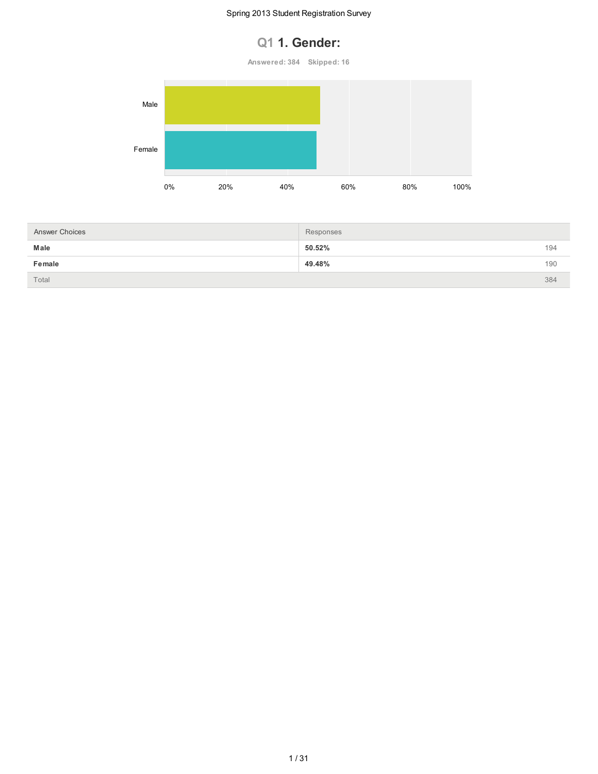## **Q1 1. Gender:**

**Answered: 384 Skipped: 16**



| <b>Answer Choices</b> | Responses |     |
|-----------------------|-----------|-----|
| Male                  | 50.52%    | 194 |
| Female                | 49.48%    | 190 |
| Total                 |           | 384 |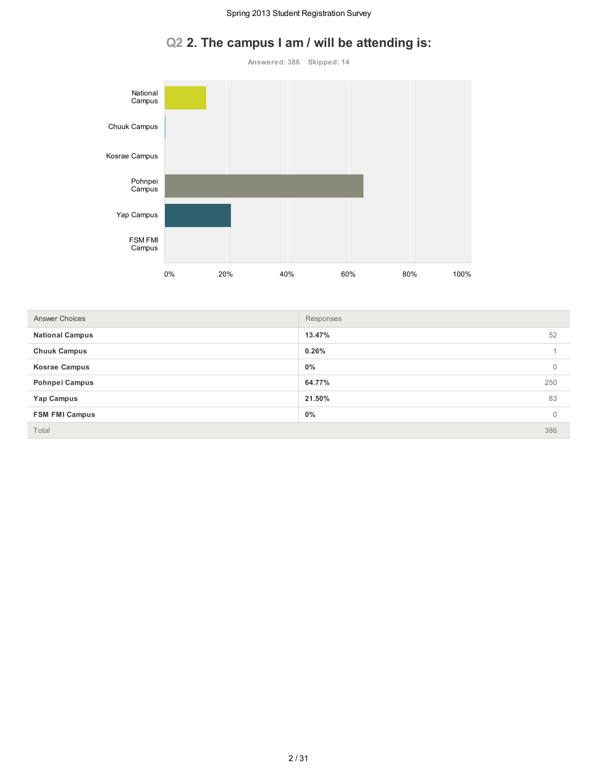# **Q2 2. The campus I am / will be attending is:**



| <b>Answer Choices</b>  | Responses |          |
|------------------------|-----------|----------|
| <b>National Campus</b> | 13.47%    | 52       |
| <b>Chuuk Campus</b>    | 0.26%     |          |
| <b>Kosrae Campus</b>   | $0\%$     | 0        |
| <b>Pohnpei Campus</b>  | 64.77%    | 250      |
| Yap Campus             | 21.50%    | 83       |
| <b>FSM FMI Campus</b>  | $0\%$     | $\Omega$ |
| Total                  |           | 386      |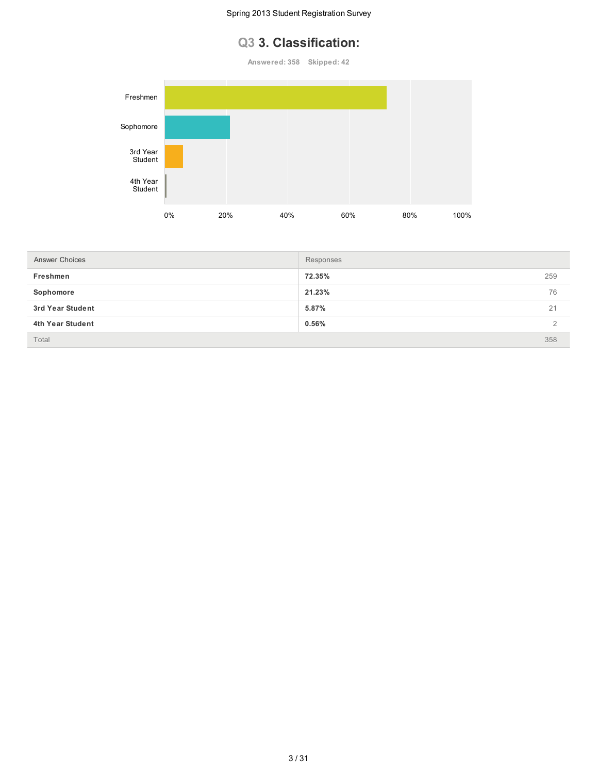### **Q3 3. Classification:**

**Answered: 358 Skipped: 42**



| <b>Answer Choices</b> | Responses |     |
|-----------------------|-----------|-----|
| Freshmen              | 72.35%    | 259 |
| Sophomore             | 21.23%    | 76  |
| 3rd Year Student      | 5.87%     | 21  |
| 4th Year Student      | 0.56%     |     |
| Total                 |           | 358 |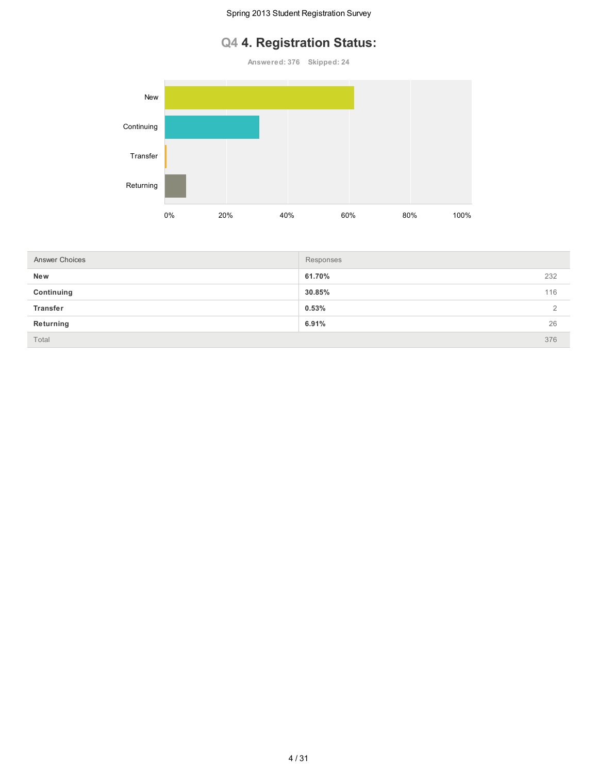## **Q4 4. Registration Status:**

**Answered: 376 Skipped: 24**



| <b>Answer Choices</b> | Responses |          |
|-----------------------|-----------|----------|
| New                   | 61.70%    | 232      |
| Continuing            | 30.85%    | 116      |
| <b>Transfer</b>       | 0.53%     | $\Omega$ |
| Returning             | 6.91%     | 26       |
| Total                 |           | 376      |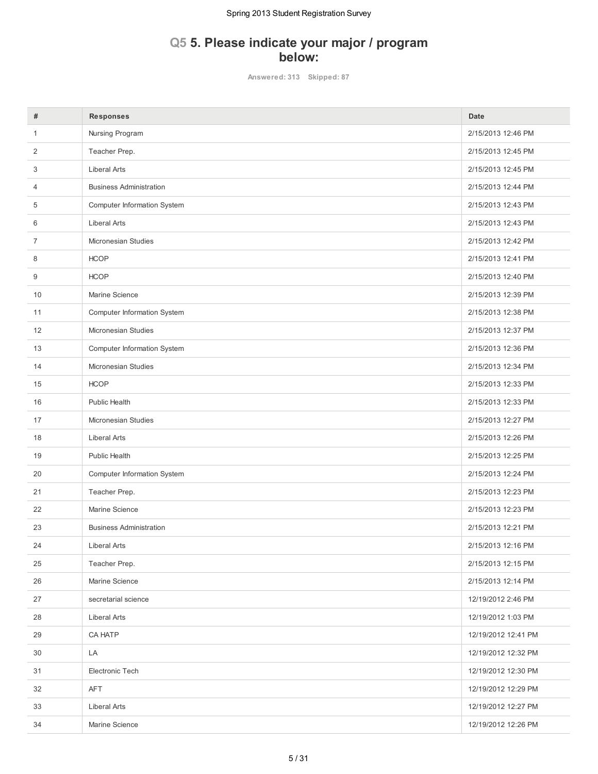### **Q5 5. Please indicate your major / program below:**

**Answered: 313 Skipped: 87**

| #  | <b>Responses</b>                   | Date                |
|----|------------------------------------|---------------------|
| 1  | Nursing Program                    | 2/15/2013 12:46 PM  |
| 2  | Teacher Prep.                      | 2/15/2013 12:45 PM  |
| 3  | <b>Liberal Arts</b>                | 2/15/2013 12:45 PM  |
| 4  | <b>Business Administration</b>     | 2/15/2013 12:44 PM  |
| 5  | <b>Computer Information System</b> | 2/15/2013 12:43 PM  |
| 6  | <b>Liberal Arts</b>                | 2/15/2013 12:43 PM  |
| 7  | <b>Micronesian Studies</b>         | 2/15/2013 12:42 PM  |
| 8  | <b>HCOP</b>                        | 2/15/2013 12:41 PM  |
| 9  | <b>HCOP</b>                        | 2/15/2013 12:40 PM  |
| 10 | Marine Science                     | 2/15/2013 12:39 PM  |
| 11 | Computer Information System        | 2/15/2013 12:38 PM  |
| 12 | <b>Micronesian Studies</b>         | 2/15/2013 12:37 PM  |
| 13 | Computer Information System        | 2/15/2013 12:36 PM  |
| 14 | Micronesian Studies                | 2/15/2013 12:34 PM  |
| 15 | <b>HCOP</b>                        | 2/15/2013 12:33 PM  |
| 16 | Public Health                      | 2/15/2013 12:33 PM  |
| 17 | Micronesian Studies                | 2/15/2013 12:27 PM  |
| 18 | <b>Liberal Arts</b>                | 2/15/2013 12:26 PM  |
| 19 | Public Health                      | 2/15/2013 12:25 PM  |
| 20 | <b>Computer Information System</b> | 2/15/2013 12:24 PM  |
| 21 | Teacher Prep.                      | 2/15/2013 12:23 PM  |
| 22 | Marine Science                     | 2/15/2013 12:23 PM  |
| 23 | <b>Business Administration</b>     | 2/15/2013 12:21 PM  |
| 24 | <b>Liberal Arts</b>                | 2/15/2013 12:16 PM  |
| 25 | Teacher Prep.                      | 2/15/2013 12:15 PM  |
| 26 | Marine Science                     | 2/15/2013 12:14 PM  |
| 27 | secretarial science                | 12/19/2012 2:46 PM  |
| 28 | Liberal Arts                       | 12/19/2012 1:03 PM  |
| 29 | CA HATP                            | 12/19/2012 12:41 PM |
| 30 | LA                                 | 12/19/2012 12:32 PM |
| 31 | Electronic Tech                    | 12/19/2012 12:30 PM |
| 32 | AFT                                | 12/19/2012 12:29 PM |
| 33 | Liberal Arts                       | 12/19/2012 12:27 PM |
| 34 | Marine Science                     | 12/19/2012 12:26 PM |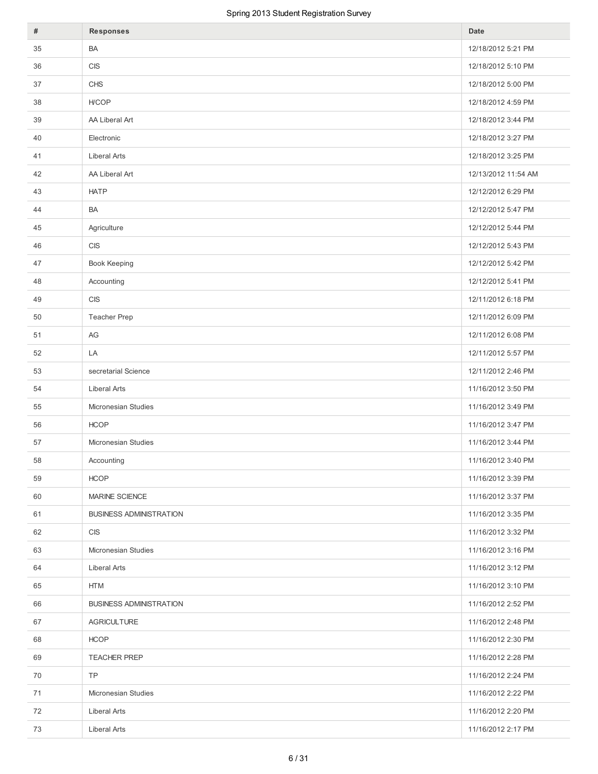| #  | <b>Responses</b>               | Date                |
|----|--------------------------------|---------------------|
| 35 | BA                             | 12/18/2012 5:21 PM  |
| 36 | <b>CIS</b>                     | 12/18/2012 5:10 PM  |
| 37 | <b>CHS</b>                     | 12/18/2012 5:00 PM  |
| 38 | H/COP                          | 12/18/2012 4:59 PM  |
| 39 | AA Liberal Art                 | 12/18/2012 3:44 PM  |
| 40 | Electronic                     | 12/18/2012 3:27 PM  |
| 41 | <b>Liberal Arts</b>            | 12/18/2012 3:25 PM  |
| 42 | AA Liberal Art                 | 12/13/2012 11:54 AM |
| 43 | <b>HATP</b>                    | 12/12/2012 6:29 PM  |
| 44 | BA                             | 12/12/2012 5:47 PM  |
| 45 | Agriculture                    | 12/12/2012 5:44 PM  |
| 46 | <b>CIS</b>                     | 12/12/2012 5:43 PM  |
| 47 | Book Keeping                   | 12/12/2012 5:42 PM  |
| 48 | Accounting                     | 12/12/2012 5:41 PM  |
| 49 | <b>CIS</b>                     | 12/11/2012 6:18 PM  |
| 50 | Teacher Prep                   | 12/11/2012 6:09 PM  |
| 51 | AG                             | 12/11/2012 6:08 PM  |
| 52 | LA                             | 12/11/2012 5:57 PM  |
| 53 | secretarial Science            | 12/11/2012 2:46 PM  |
| 54 | <b>Liberal Arts</b>            | 11/16/2012 3:50 PM  |
| 55 | Micronesian Studies            | 11/16/2012 3:49 PM  |
| 56 | <b>HCOP</b>                    | 11/16/2012 3:47 PM  |
| 57 | Micronesian Studies            | 11/16/2012 3:44 PM  |
| 58 | Accounting                     | 11/16/2012 3:40 PM  |
| 59 | <b>HCOP</b>                    | 11/16/2012 3:39 PM  |
| 60 | MARINE SCIENCE                 | 11/16/2012 3:37 PM  |
| 61 | <b>BUSINESS ADMINISTRATION</b> | 11/16/2012 3:35 PM  |
| 62 | <b>CIS</b>                     | 11/16/2012 3:32 PM  |
| 63 | Micronesian Studies            | 11/16/2012 3:16 PM  |
| 64 | Liberal Arts                   | 11/16/2012 3:12 PM  |
| 65 | HTM                            | 11/16/2012 3:10 PM  |
| 66 | <b>BUSINESS ADMINISTRATION</b> | 11/16/2012 2:52 PM  |
| 67 | <b>AGRICULTURE</b>             | 11/16/2012 2:48 PM  |
| 68 | <b>HCOP</b>                    | 11/16/2012 2:30 PM  |
| 69 | <b>TEACHER PREP</b>            | 11/16/2012 2:28 PM  |
| 70 | <b>TP</b>                      | 11/16/2012 2:24 PM  |
| 71 | Micronesian Studies            | 11/16/2012 2:22 PM  |
| 72 | Liberal Arts                   | 11/16/2012 2:20 PM  |
| 73 | Liberal Arts                   | 11/16/2012 2:17 PM  |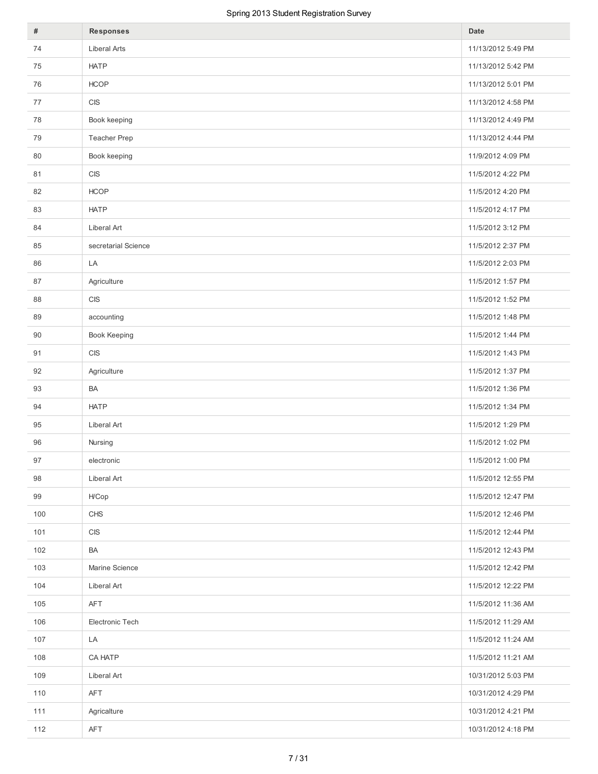| #   | <b>Responses</b>                 | Date               |
|-----|----------------------------------|--------------------|
| 74  | <b>Liberal Arts</b>              | 11/13/2012 5:49 PM |
| 75  | <b>HATP</b>                      | 11/13/2012 5:42 PM |
| 76  | <b>HCOP</b>                      | 11/13/2012 5:01 PM |
| 77  | $\mathsf{C}\mathsf{I}\mathsf{S}$ | 11/13/2012 4:58 PM |
| 78  | Book keeping                     | 11/13/2012 4:49 PM |
| 79  | Teacher Prep                     | 11/13/2012 4:44 PM |
| 80  | Book keeping                     | 11/9/2012 4:09 PM  |
| 81  | $\mathsf{C}\mathsf{I}\mathsf{S}$ | 11/5/2012 4:22 PM  |
| 82  | <b>HCOP</b>                      | 11/5/2012 4:20 PM  |
| 83  | <b>HATP</b>                      | 11/5/2012 4:17 PM  |
| 84  | Liberal Art                      | 11/5/2012 3:12 PM  |
| 85  | secretarial Science              | 11/5/2012 2:37 PM  |
| 86  | LA                               | 11/5/2012 2:03 PM  |
| 87  | Agriculture                      | 11/5/2012 1:57 PM  |
| 88  | <b>CIS</b>                       | 11/5/2012 1:52 PM  |
| 89  | accounting                       | 11/5/2012 1:48 PM  |
| 90  | Book Keeping                     | 11/5/2012 1:44 PM  |
| 91  | $\mathsf{C}\mathsf{I}\mathsf{S}$ | 11/5/2012 1:43 PM  |
| 92  | Agriculture                      | 11/5/2012 1:37 PM  |
| 93  | BA                               | 11/5/2012 1:36 PM  |
| 94  | <b>HATP</b>                      | 11/5/2012 1:34 PM  |
| 95  | Liberal Art                      | 11/5/2012 1:29 PM  |
| 96  | Nursing                          | 11/5/2012 1:02 PM  |
| 97  | electronic                       | 11/5/2012 1:00 PM  |
| 98  | Liberal Art                      | 11/5/2012 12:55 PM |
| 99  | H/Cop                            | 11/5/2012 12:47 PM |
| 100 | CHS                              | 11/5/2012 12:46 PM |
| 101 | <b>CIS</b>                       | 11/5/2012 12:44 PM |
| 102 | BA                               | 11/5/2012 12:43 PM |
| 103 | Marine Science                   | 11/5/2012 12:42 PM |
| 104 | Liberal Art                      | 11/5/2012 12:22 PM |
| 105 | AFT                              | 11/5/2012 11:36 AM |
| 106 | Electronic Tech                  | 11/5/2012 11:29 AM |
| 107 | LA                               | 11/5/2012 11:24 AM |
| 108 | CA HATP                          | 11/5/2012 11:21 AM |
| 109 | Liberal Art                      | 10/31/2012 5:03 PM |
| 110 | AFT                              | 10/31/2012 4:29 PM |
| 111 | Agricalture                      | 10/31/2012 4:21 PM |
| 112 | AFT                              | 10/31/2012 4:18 PM |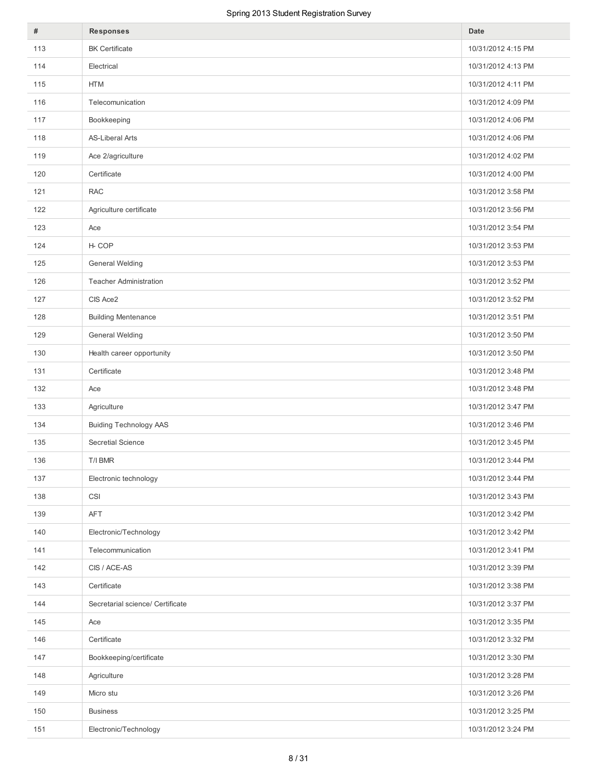| #   | <b>Responses</b>                 | Date               |
|-----|----------------------------------|--------------------|
| 113 | <b>BK</b> Certificate            | 10/31/2012 4:15 PM |
| 114 | Electrical                       | 10/31/2012 4:13 PM |
| 115 | <b>HTM</b>                       | 10/31/2012 4:11 PM |
| 116 | Telecomunication                 | 10/31/2012 4:09 PM |
| 117 | Bookkeeping                      | 10/31/2012 4:06 PM |
| 118 | <b>AS-Liberal Arts</b>           | 10/31/2012 4:06 PM |
| 119 | Ace 2/agriculture                | 10/31/2012 4:02 PM |
| 120 | Certificate                      | 10/31/2012 4:00 PM |
| 121 | <b>RAC</b>                       | 10/31/2012 3:58 PM |
| 122 | Agriculture certificate          | 10/31/2012 3:56 PM |
| 123 | Ace                              | 10/31/2012 3:54 PM |
| 124 | H-COP                            | 10/31/2012 3:53 PM |
| 125 | <b>General Welding</b>           | 10/31/2012 3:53 PM |
| 126 | <b>Teacher Administration</b>    | 10/31/2012 3:52 PM |
| 127 | CIS Ace2                         | 10/31/2012 3:52 PM |
| 128 | <b>Building Mentenance</b>       | 10/31/2012 3:51 PM |
| 129 | <b>General Welding</b>           | 10/31/2012 3:50 PM |
| 130 | Health career opportunity        | 10/31/2012 3:50 PM |
| 131 | Certificate                      | 10/31/2012 3:48 PM |
| 132 | Ace                              | 10/31/2012 3:48 PM |
| 133 | Agriculture                      | 10/31/2012 3:47 PM |
| 134 | <b>Buiding Technology AAS</b>    | 10/31/2012 3:46 PM |
| 135 | Secretial Science                | 10/31/2012 3:45 PM |
| 136 | T/I BMR                          | 10/31/2012 3:44 PM |
| 137 | Electronic technology            | 10/31/2012 3:44 PM |
| 138 | CSI                              | 10/31/2012 3:43 PM |
| 139 | <b>AFT</b>                       | 10/31/2012 3:42 PM |
| 140 | Electronic/Technology            | 10/31/2012 3:42 PM |
| 141 | Telecommunication                | 10/31/2012 3:41 PM |
| 142 | CIS / ACE-AS                     | 10/31/2012 3:39 PM |
| 143 | Certificate                      | 10/31/2012 3:38 PM |
| 144 | Secretarial science/ Certificate | 10/31/2012 3:37 PM |
| 145 | Ace                              | 10/31/2012 3:35 PM |
| 146 | Certificate                      | 10/31/2012 3:32 PM |
| 147 | Bookkeeping/certificate          | 10/31/2012 3:30 PM |
| 148 | Agriculture                      | 10/31/2012 3:28 PM |
| 149 | Micro stu                        | 10/31/2012 3:26 PM |
| 150 | <b>Business</b>                  | 10/31/2012 3:25 PM |
| 151 | Electronic/Technology            | 10/31/2012 3:24 PM |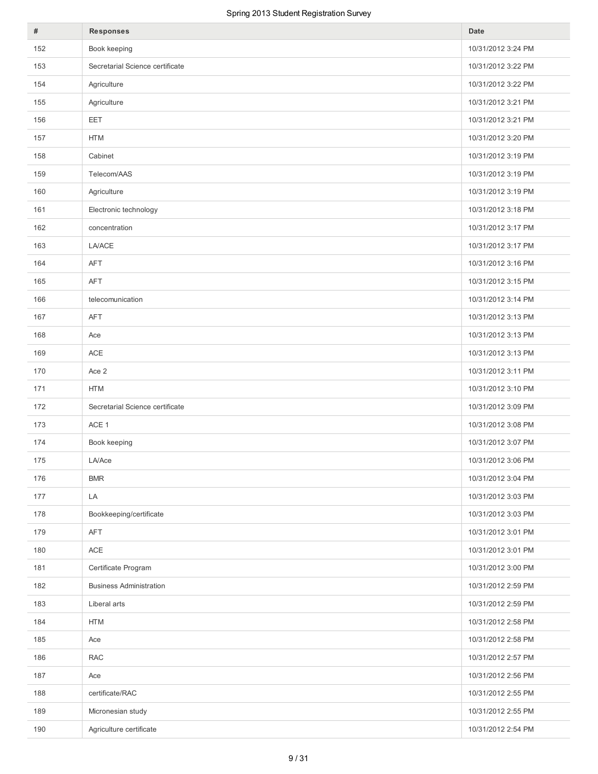| #   | <b>Responses</b>                | Date               |
|-----|---------------------------------|--------------------|
| 152 | Book keeping                    | 10/31/2012 3:24 PM |
| 153 | Secretarial Science certificate | 10/31/2012 3:22 PM |
| 154 | Agriculture                     | 10/31/2012 3:22 PM |
| 155 | Agriculture                     | 10/31/2012 3:21 PM |
| 156 | EET                             | 10/31/2012 3:21 PM |
| 157 | <b>HTM</b>                      | 10/31/2012 3:20 PM |
| 158 | Cabinet                         | 10/31/2012 3:19 PM |
| 159 | Telecom/AAS                     | 10/31/2012 3:19 PM |
| 160 | Agriculture                     | 10/31/2012 3:19 PM |
| 161 | Electronic technology           | 10/31/2012 3:18 PM |
| 162 | concentration                   | 10/31/2012 3:17 PM |
| 163 | <b>LA/ACE</b>                   | 10/31/2012 3:17 PM |
| 164 | AFT                             | 10/31/2012 3:16 PM |
| 165 | <b>AFT</b>                      | 10/31/2012 3:15 PM |
| 166 | telecomunication                | 10/31/2012 3:14 PM |
| 167 | AFT                             | 10/31/2012 3:13 PM |
| 168 | Ace                             | 10/31/2012 3:13 PM |
| 169 | $\mathsf{ACE}$                  | 10/31/2012 3:13 PM |
| 170 | Ace 2                           | 10/31/2012 3:11 PM |
| 171 | <b>HTM</b>                      | 10/31/2012 3:10 PM |
| 172 | Secretarial Science certificate | 10/31/2012 3:09 PM |
| 173 | ACE 1                           | 10/31/2012 3:08 PM |
| 174 | Book keeping                    | 10/31/2012 3:07 PM |
| 175 | LA/Ace                          | 10/31/2012 3:06 PM |
| 176 | <b>BMR</b>                      | 10/31/2012 3:04 PM |
| 177 | LA                              | 10/31/2012 3:03 PM |
| 178 | Bookkeeping/certificate         | 10/31/2012 3:03 PM |
| 179 | AFT                             | 10/31/2012 3:01 PM |
| 180 | $\mathsf{ACE}$                  | 10/31/2012 3:01 PM |
| 181 | Certificate Program             | 10/31/2012 3:00 PM |
| 182 | <b>Business Administration</b>  | 10/31/2012 2:59 PM |
| 183 | Liberal arts                    | 10/31/2012 2:59 PM |
| 184 | <b>HTM</b>                      | 10/31/2012 2:58 PM |
| 185 | Ace                             | 10/31/2012 2:58 PM |
| 186 | <b>RAC</b>                      | 10/31/2012 2:57 PM |
| 187 | Ace                             | 10/31/2012 2:56 PM |
| 188 | certificate/RAC                 | 10/31/2012 2:55 PM |
| 189 | Micronesian study               | 10/31/2012 2:55 PM |
| 190 | Agriculture certificate         | 10/31/2012 2:54 PM |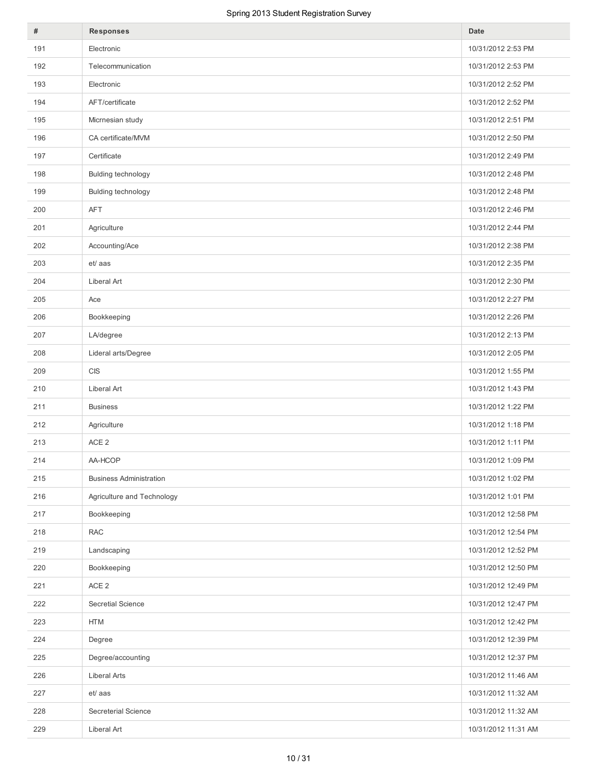| $\#$ | <b>Responses</b>               | Date                |
|------|--------------------------------|---------------------|
| 191  | Electronic                     | 10/31/2012 2:53 PM  |
| 192  | Telecommunication              | 10/31/2012 2:53 PM  |
| 193  | Electronic                     | 10/31/2012 2:52 PM  |
| 194  | AFT/certificate                | 10/31/2012 2:52 PM  |
| 195  | Micrnesian study               | 10/31/2012 2:51 PM  |
| 196  | CA certificate/MVM             | 10/31/2012 2:50 PM  |
| 197  | Certificate                    | 10/31/2012 2:49 PM  |
| 198  | Bulding technology             | 10/31/2012 2:48 PM  |
| 199  | Bulding technology             | 10/31/2012 2:48 PM  |
| 200  | AFT                            | 10/31/2012 2:46 PM  |
| 201  | Agriculture                    | 10/31/2012 2:44 PM  |
| 202  | Accounting/Ace                 | 10/31/2012 2:38 PM  |
| 203  | et/ aas                        | 10/31/2012 2:35 PM  |
| 204  | Liberal Art                    | 10/31/2012 2:30 PM  |
| 205  | Ace                            | 10/31/2012 2:27 PM  |
| 206  | Bookkeeping                    | 10/31/2012 2:26 PM  |
| 207  | LA/degree                      | 10/31/2012 2:13 PM  |
| 208  | Lideral arts/Degree            | 10/31/2012 2:05 PM  |
| 209  | <b>CIS</b>                     | 10/31/2012 1:55 PM  |
| 210  | Liberal Art                    | 10/31/2012 1:43 PM  |
| 211  | <b>Business</b>                | 10/31/2012 1:22 PM  |
| 212  | Agriculture                    | 10/31/2012 1:18 PM  |
| 213  | ACE <sub>2</sub>               | 10/31/2012 1:11 PM  |
| 214  | AA-HCOP                        | 10/31/2012 1:09 PM  |
| 215  | <b>Business Administration</b> | 10/31/2012 1:02 PM  |
| 216  | Agriculture and Technology     | 10/31/2012 1:01 PM  |
| 217  | Bookkeeping                    | 10/31/2012 12:58 PM |
| 218  | <b>RAC</b>                     | 10/31/2012 12:54 PM |
| 219  | Landscaping                    | 10/31/2012 12:52 PM |
| 220  | Bookkeeping                    | 10/31/2012 12:50 PM |
| 221  | ACE <sub>2</sub>               | 10/31/2012 12:49 PM |
| 222  | Secretial Science              | 10/31/2012 12:47 PM |
| 223  | <b>HTM</b>                     | 10/31/2012 12:42 PM |
| 224  | Degree                         | 10/31/2012 12:39 PM |
| 225  | Degree/accounting              | 10/31/2012 12:37 PM |
| 226  | <b>Liberal Arts</b>            | 10/31/2012 11:46 AM |
| 227  | et/ aas                        | 10/31/2012 11:32 AM |
| 228  | Secreterial Science            | 10/31/2012 11:32 AM |
| 229  | Liberal Art                    | 10/31/2012 11:31 AM |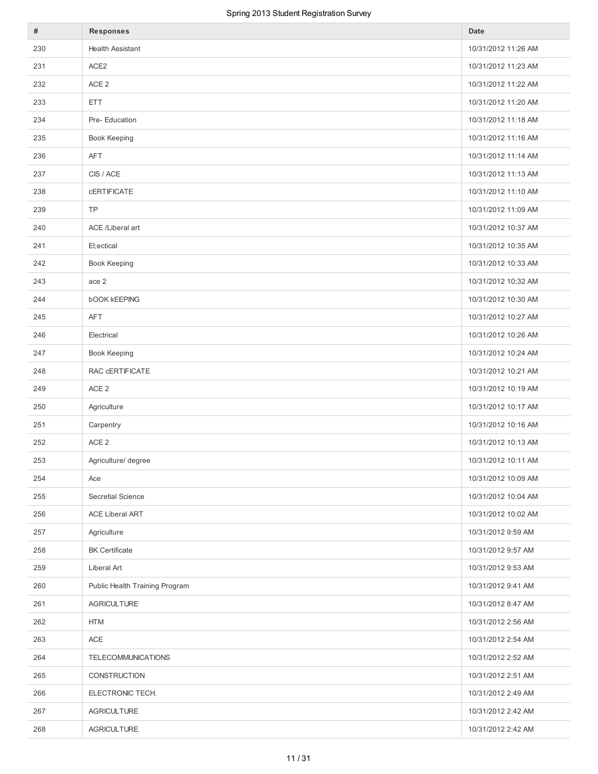| #   | Responses                      | Date                |
|-----|--------------------------------|---------------------|
| 230 | <b>Health Assistant</b>        | 10/31/2012 11:26 AM |
| 231 | ACE <sub>2</sub>               | 10/31/2012 11:23 AM |
| 232 | ACE <sub>2</sub>               | 10/31/2012 11:22 AM |
| 233 | ETT.                           | 10/31/2012 11:20 AM |
| 234 | Pre-Education                  | 10/31/2012 11:18 AM |
| 235 | Book Keeping                   | 10/31/2012 11:16 AM |
| 236 | AFT                            | 10/31/2012 11:14 AM |
| 237 | CIS / ACE                      | 10/31/2012 11:13 AM |
| 238 | <b>CERTIFICATE</b>             | 10/31/2012 11:10 AM |
| 239 | <b>TP</b>                      | 10/31/2012 11:09 AM |
| 240 | ACE /Liberal art               | 10/31/2012 10:37 AM |
| 241 | El;ectical                     | 10/31/2012 10:35 AM |
| 242 | <b>Book Keeping</b>            | 10/31/2012 10:33 AM |
| 243 | ace 2                          | 10/31/2012 10:32 AM |
| 244 | <b>bOOK KEEPING</b>            | 10/31/2012 10:30 AM |
| 245 | AFT                            | 10/31/2012 10:27 AM |
| 246 | Electrical                     | 10/31/2012 10:26 AM |
| 247 | Book Keeping                   | 10/31/2012 10:24 AM |
| 248 | RAC CERTIFICATE                | 10/31/2012 10:21 AM |
| 249 | ACE <sub>2</sub>               | 10/31/2012 10:19 AM |
| 250 | Agriculture                    | 10/31/2012 10:17 AM |
| 251 | Carpentry                      | 10/31/2012 10:16 AM |
| 252 | ACE <sub>2</sub>               | 10/31/2012 10:13 AM |
| 253 | Agriculture/ degree            | 10/31/2012 10:11 AM |
| 254 | Ace                            | 10/31/2012 10:09 AM |
| 255 | Secretial Science              | 10/31/2012 10:04 AM |
| 256 | <b>ACE Liberal ART</b>         | 10/31/2012 10:02 AM |
| 257 | Agriculture                    | 10/31/2012 9:59 AM  |
| 258 | <b>BK</b> Certificate          | 10/31/2012 9:57 AM  |
| 259 | Liberal Art                    | 10/31/2012 9:53 AM  |
| 260 | Public Health Training Program | 10/31/2012 9:41 AM  |
| 261 | <b>AGRICULTURE</b>             | 10/31/2012 8:47 AM  |
| 262 | <b>HTM</b>                     | 10/31/2012 2:56 AM  |
| 263 | ACE                            | 10/31/2012 2:54 AM  |
| 264 | TELECOMMUNICATIONS             | 10/31/2012 2:52 AM  |
| 265 | CONSTRUCTION                   | 10/31/2012 2:51 AM  |
| 266 | ELECTRONIC TECH.               | 10/31/2012 2:49 AM  |
| 267 | AGRICULTURE                    | 10/31/2012 2:42 AM  |
| 268 | AGRICULTURE                    | 10/31/2012 2:42 AM  |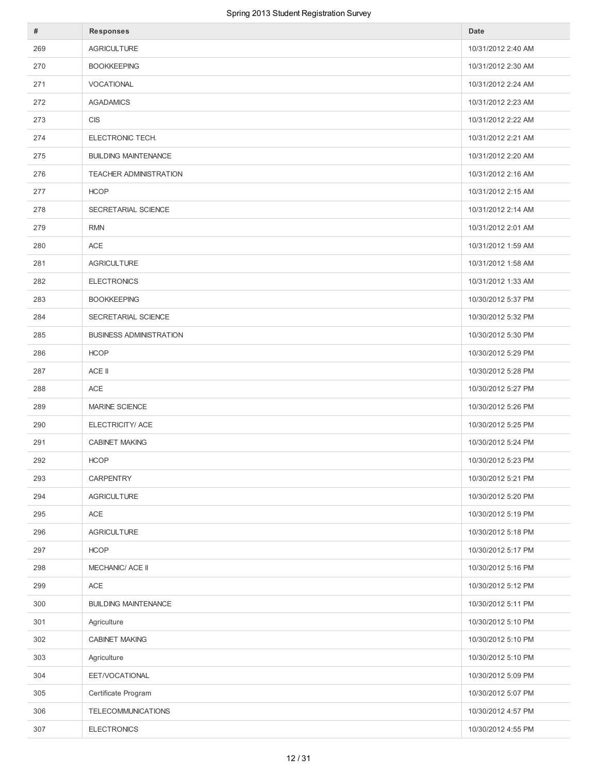| #   | <b>Responses</b>               | Date               |
|-----|--------------------------------|--------------------|
| 269 | <b>AGRICULTURE</b>             | 10/31/2012 2:40 AM |
| 270 | <b>BOOKKEEPING</b>             | 10/31/2012 2:30 AM |
| 271 | <b>VOCATIONAL</b>              | 10/31/2012 2:24 AM |
| 272 | <b>AGADAMICS</b>               | 10/31/2012 2:23 AM |
| 273 | <b>CIS</b>                     | 10/31/2012 2:22 AM |
| 274 | ELECTRONIC TECH.               | 10/31/2012 2:21 AM |
| 275 | <b>BUILDING MAINTENANCE</b>    | 10/31/2012 2:20 AM |
| 276 | <b>TEACHER ADMINISTRATION</b>  | 10/31/2012 2:16 AM |
| 277 | <b>HCOP</b>                    | 10/31/2012 2:15 AM |
| 278 | SECRETARIAL SCIENCE            | 10/31/2012 2:14 AM |
| 279 | <b>RMN</b>                     | 10/31/2012 2:01 AM |
| 280 | <b>ACE</b>                     | 10/31/2012 1:59 AM |
| 281 | <b>AGRICULTURE</b>             | 10/31/2012 1:58 AM |
| 282 | <b>ELECTRONICS</b>             | 10/31/2012 1:33 AM |
| 283 | <b>BOOKKEEPING</b>             | 10/30/2012 5:37 PM |
| 284 | SECRETARIAL SCIENCE            | 10/30/2012 5:32 PM |
| 285 | <b>BUSINESS ADMINISTRATION</b> | 10/30/2012 5:30 PM |
| 286 | <b>HCOP</b>                    | 10/30/2012 5:29 PM |
| 287 | ACE II                         | 10/30/2012 5:28 PM |
| 288 | <b>ACE</b>                     | 10/30/2012 5:27 PM |
| 289 | MARINE SCIENCE                 | 10/30/2012 5:26 PM |
| 290 | ELECTRICITY/ ACE               | 10/30/2012 5:25 PM |
| 291 | <b>CABINET MAKING</b>          | 10/30/2012 5:24 PM |
| 292 | <b>HCOP</b>                    | 10/30/2012 5:23 PM |
| 293 | <b>CARPENTRY</b>               | 10/30/2012 5:21 PM |
| 294 | <b>AGRICULTURE</b>             | 10/30/2012 5:20 PM |
| 295 | ACE                            | 10/30/2012 5:19 PM |
| 296 | <b>AGRICULTURE</b>             | 10/30/2012 5:18 PM |
| 297 | <b>HCOP</b>                    | 10/30/2012 5:17 PM |
| 298 | MECHANIC/ ACE II               | 10/30/2012 5:16 PM |
| 299 | ACE                            | 10/30/2012 5:12 PM |
| 300 | <b>BUILDING MAINTENANCE</b>    | 10/30/2012 5:11 PM |
| 301 | Agriculture                    | 10/30/2012 5:10 PM |
| 302 | <b>CABINET MAKING</b>          | 10/30/2012 5:10 PM |
| 303 | Agriculture                    | 10/30/2012 5:10 PM |
| 304 | EET/VOCATIONAL                 | 10/30/2012 5:09 PM |
| 305 | Certificate Program            | 10/30/2012 5:07 PM |
| 306 | <b>TELECOMMUNICATIONS</b>      | 10/30/2012 4:57 PM |
| 307 | <b>ELECTRONICS</b>             | 10/30/2012 4:55 PM |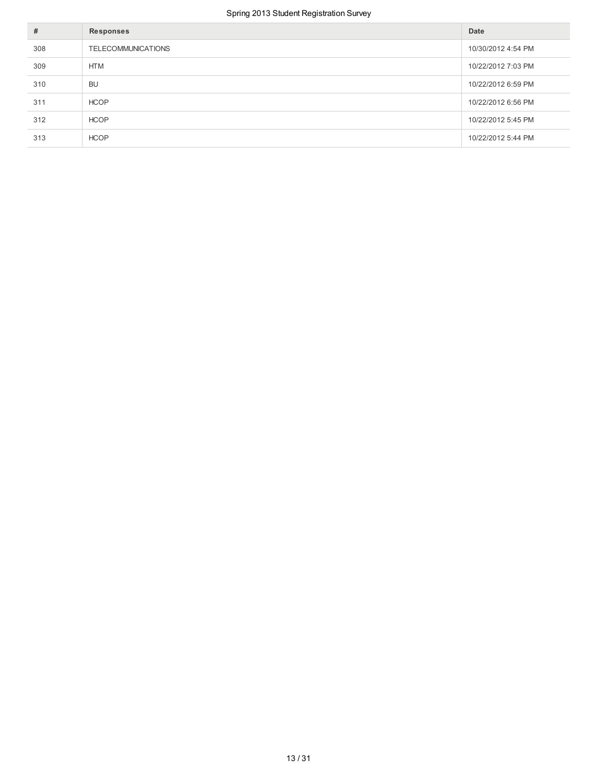| #   | Responses                 | Date               |
|-----|---------------------------|--------------------|
| 308 | <b>TELECOMMUNICATIONS</b> | 10/30/2012 4:54 PM |
| 309 | <b>HTM</b>                | 10/22/2012 7:03 PM |
| 310 | <b>BU</b>                 | 10/22/2012 6:59 PM |
| 311 | <b>HCOP</b>               | 10/22/2012 6:56 PM |
| 312 | <b>HCOP</b>               | 10/22/2012 5:45 PM |
| 313 | <b>HCOP</b>               | 10/22/2012 5:44 PM |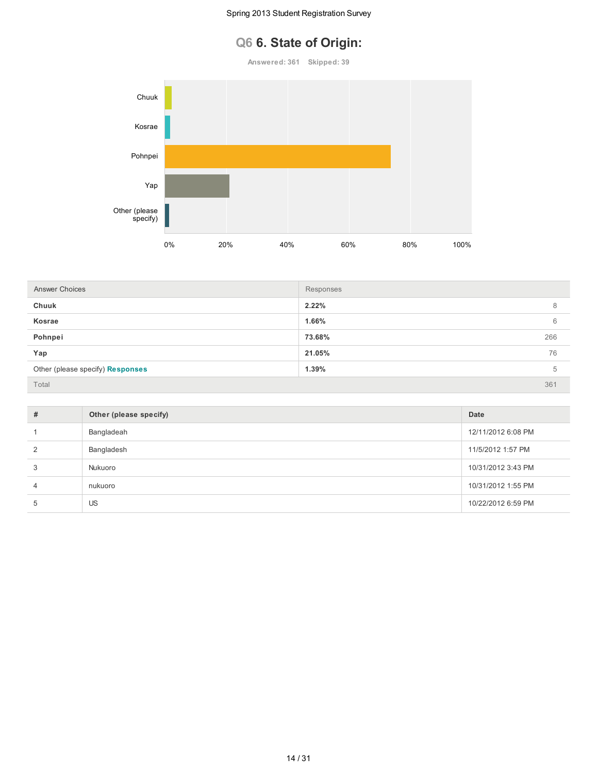# **Q6 6. State of Origin:**

**Answered: 361 Skipped: 39**



| <b>Answer Choices</b>            | Responses |     |
|----------------------------------|-----------|-----|
| Chuuk                            | 2.22%     | 8   |
| Kosrae                           | 1.66%     | 6   |
| Pohnpei                          | 73.68%    | 266 |
| Yap                              | 21.05%    | 76  |
| Other (please specify) Responses | 1.39%     | 5   |
| Total                            |           | 361 |

| # | Other (please specify) | Date               |
|---|------------------------|--------------------|
|   | Bangladeah             | 12/11/2012 6:08 PM |
|   | Bangladesh             | 11/5/2012 1:57 PM  |
| 3 | Nukuoro                | 10/31/2012 3:43 PM |
| 4 | nukuoro                | 10/31/2012 1:55 PM |
| 5 | US                     | 10/22/2012 6:59 PM |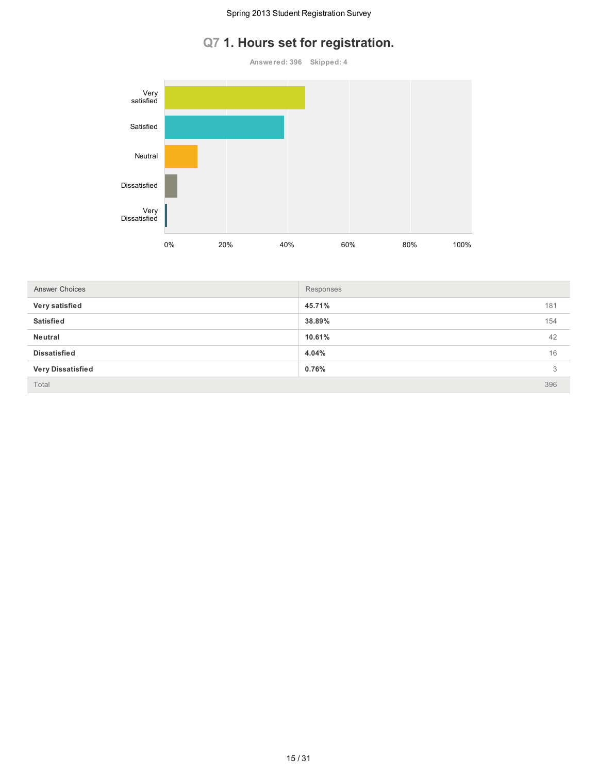# **Q7 1. Hours set for registration.**

**Answered: 396 Skipped: 4**



| <b>Answer Choices</b>    | Responses |     |
|--------------------------|-----------|-----|
| Very satisfied           | 45.71%    | 181 |
| <b>Satisfied</b>         | 38.89%    | 154 |
| Neutral                  | 10.61%    | 42  |
| <b>Dissatisfied</b>      | 4.04%     | 16  |
| <b>Very Dissatisfied</b> | 0.76%     | 3   |
| Total                    |           | 396 |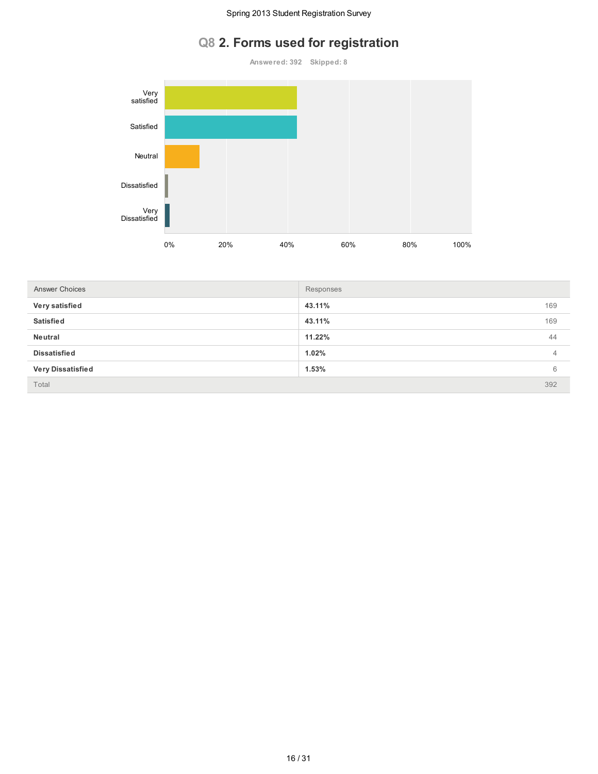# **Q8 2. Forms used for registration**

**Answered: 392 Skipped: 8**



| <b>Answer Choices</b>    | Responses     |
|--------------------------|---------------|
| Very satisfied           | 169<br>43.11% |
| <b>Satisfied</b>         | 43.11%<br>169 |
| Neutral                  | 11.22%<br>44  |
| <b>Dissatisfied</b>      | 1.02%<br>4    |
| <b>Very Dissatisfied</b> | 1.53%<br>6    |
| Total                    | 392           |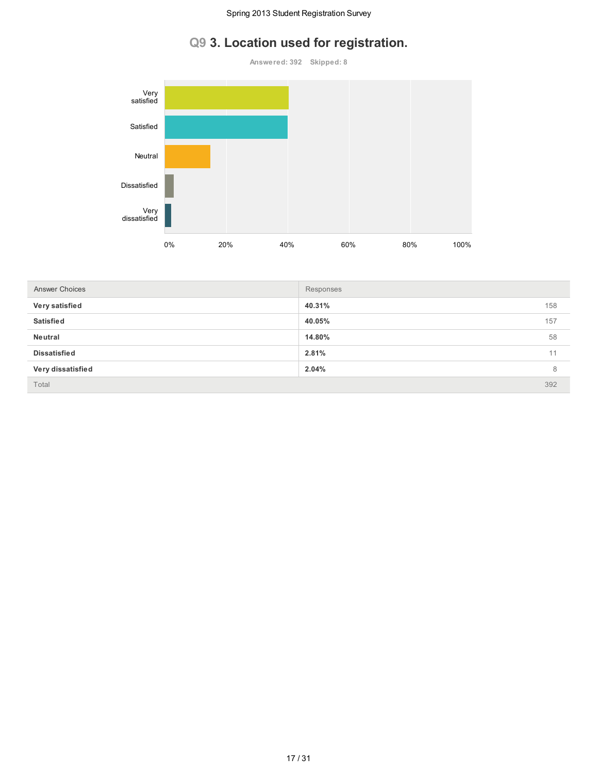# **Q9 3. Location used for registration.**

**Answered: 392 Skipped: 8**



| <b>Answer Choices</b> | Responses |     |
|-----------------------|-----------|-----|
| Very satisfied        | 40.31%    | 158 |
| <b>Satisfied</b>      | 40.05%    | 157 |
| Neutral               | 14.80%    | 58  |
| <b>Dissatisfied</b>   | 2.81%     | 11  |
| Very dissatisfied     | 2.04%     | 8   |
| Total                 |           | 392 |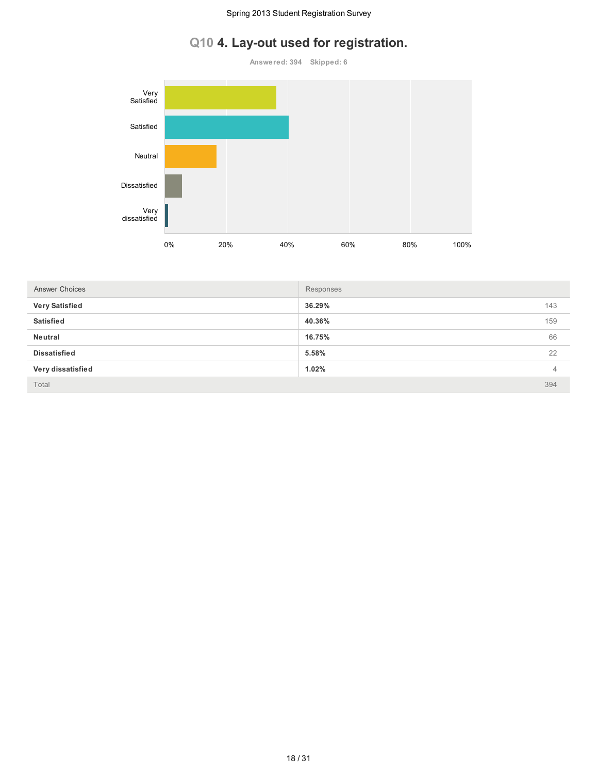# **Q10 4. Lay-out used for registration.**

**Answered: 394 Skipped: 6**



| <b>Answer Choices</b> | Responses     |  |
|-----------------------|---------------|--|
| <b>Very Satisfied</b> | 36.29%<br>143 |  |
| <b>Satisfied</b>      | 159<br>40.36% |  |
| Neutral               | 66<br>16.75%  |  |
| <b>Dissatisfied</b>   | 22<br>5.58%   |  |
| Very dissatisfied     | 1.02%<br>4    |  |
| Total                 | 394           |  |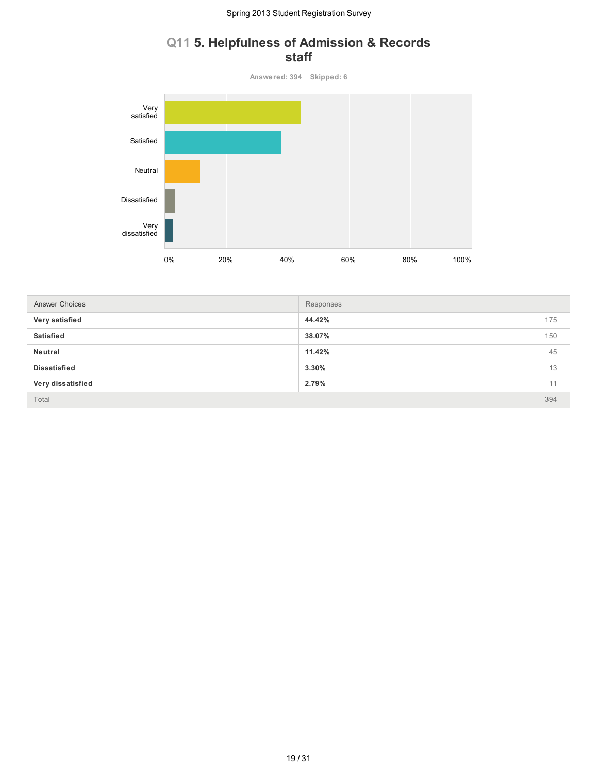### **Q11 5. Helpfulness of Admission & Records staff**

**Answered: 394 Skipped: 6** 0% 20% 40% 60% 80% 100% Very satisfied Satisfied Neutral Dissatisfied Very dissatisfied

| <b>Answer Choices</b> | Responses |     |
|-----------------------|-----------|-----|
| Very satisfied        | 44.42%    | 175 |
| <b>Satisfied</b>      | 38.07%    | 150 |
| Neutral               | 11.42%    | 45  |
| <b>Dissatisfied</b>   | 3.30%     | 13  |
| Very dissatisfied     | 2.79%     | 11  |
| Total                 |           | 394 |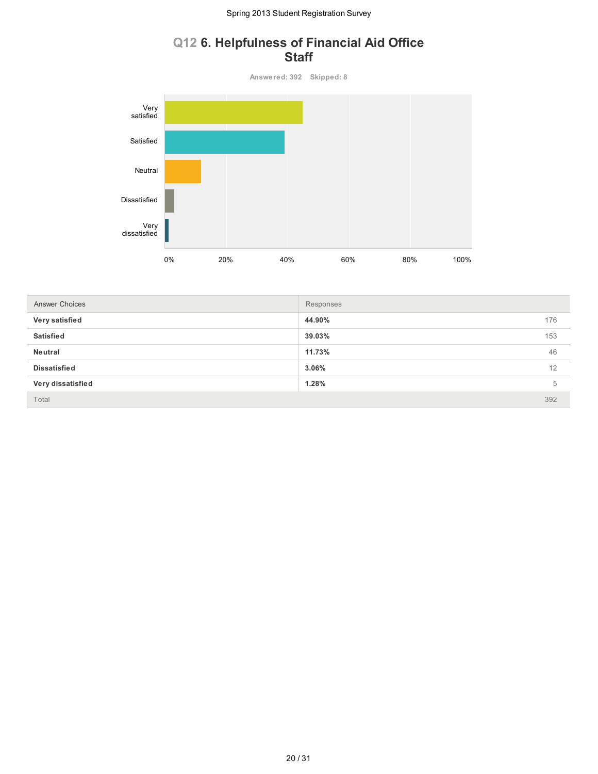### **Q12 6. Helpfulness of Financial Aid Office Staff**

**Answered: 392 Skipped: 8** 0% 20% 40% 60% 80% 100% Very satisfied Satisfied Neutral Dissatisfied Very dissatisfied

| <b>Answer Choices</b> | Responses     |
|-----------------------|---------------|
| Very satisfied        | 44.90%<br>176 |
| <b>Satisfied</b>      | 39.03%<br>153 |
| Neutral               | 46<br>11.73%  |
| <b>Dissatisfied</b>   | 3.06%<br>12   |
| Very dissatisfied     | 1.28%<br>5    |
| Total                 | 392           |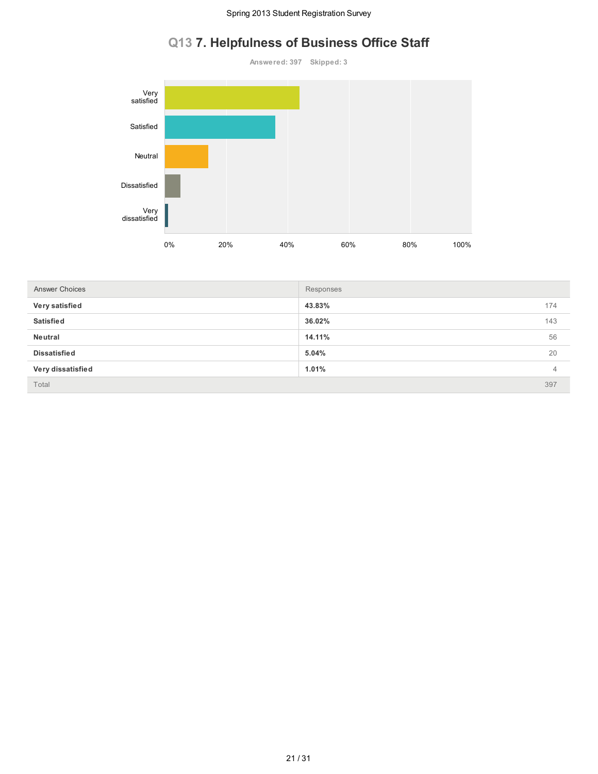# **Q13 7. Helpfulness of Business Office Staff**

**Answered: 397 Skipped: 3** 0% 20% 40% 60% 80% 100% Very satisfied Satisfied Neutral Dissatisfied Very dissatisfied

| <b>Answer Choices</b> | Responses |                |
|-----------------------|-----------|----------------|
| Very satisfied        | 43.83%    | 174            |
| <b>Satisfied</b>      | 36.02%    | 143            |
| Neutral               | 14.11%    | 56             |
| <b>Dissatisfied</b>   | 5.04%     | 20             |
| Very dissatisfied     | 1.01%     | $\overline{4}$ |
| Total                 |           | 397            |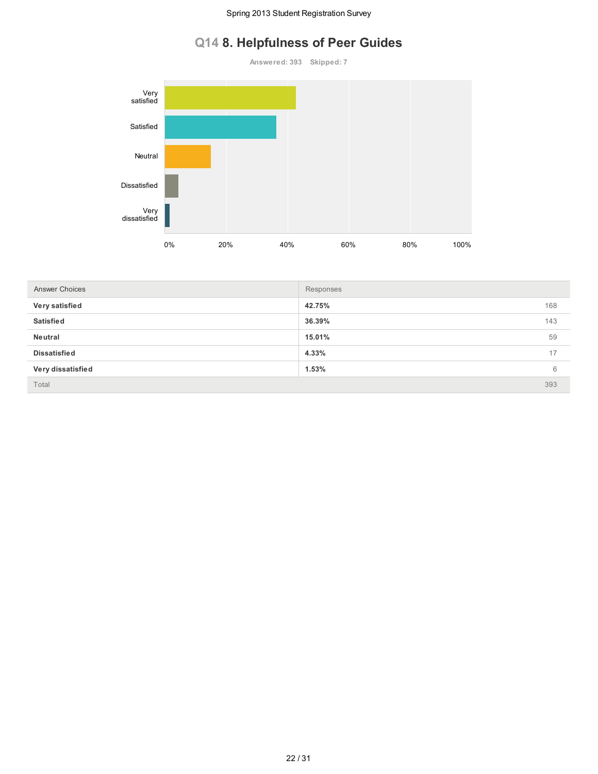# **Q14 8. Helpfulness of Peer Guides**

**Answered: 393 Skipped: 7**



| <b>Answer Choices</b> | Responses |     |
|-----------------------|-----------|-----|
| Very satisfied        | 42.75%    | 168 |
| <b>Satisfied</b>      | 36.39%    | 143 |
| Neutral               | 15.01%    | 59  |
| <b>Dissatisfied</b>   | 4.33%     | 17  |
| Very dissatisfied     | 1.53%     | 6   |
| Total                 |           | 393 |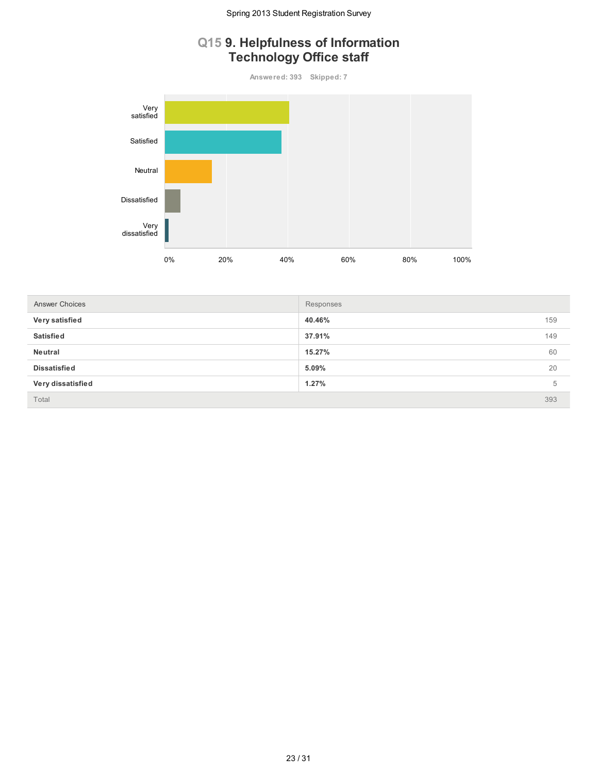## **Q15 9. Helpfulness of Information Technology Office staff**

**Answered: 393 Skipped: 7**



| Answer Choices      | Responses |     |
|---------------------|-----------|-----|
| Very satisfied      | 40.46%    | 159 |
| <b>Satisfied</b>    | 37.91%    | 149 |
| Neutral             | 15.27%    | 60  |
| <b>Dissatisfied</b> | 5.09%     | 20  |
| Very dissatisfied   | 1.27%     | 5   |
| Total               |           | 393 |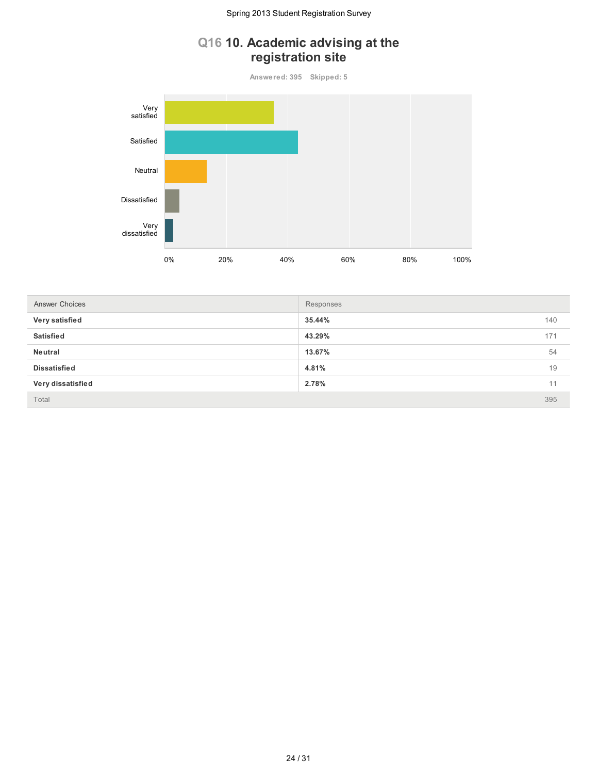## **Q16 10. Academic advising at the registration site**

**Answered: 395 Skipped: 5**



| <b>Answer Choices</b> | Responses     |
|-----------------------|---------------|
| Very satisfied        | 35.44%<br>140 |
| <b>Satisfied</b>      | 43.29%<br>171 |
| Neutral               | 54<br>13.67%  |
| <b>Dissatisfied</b>   | 4.81%<br>19   |
| Very dissatisfied     | 2.78%<br>11   |
| Total                 | 395           |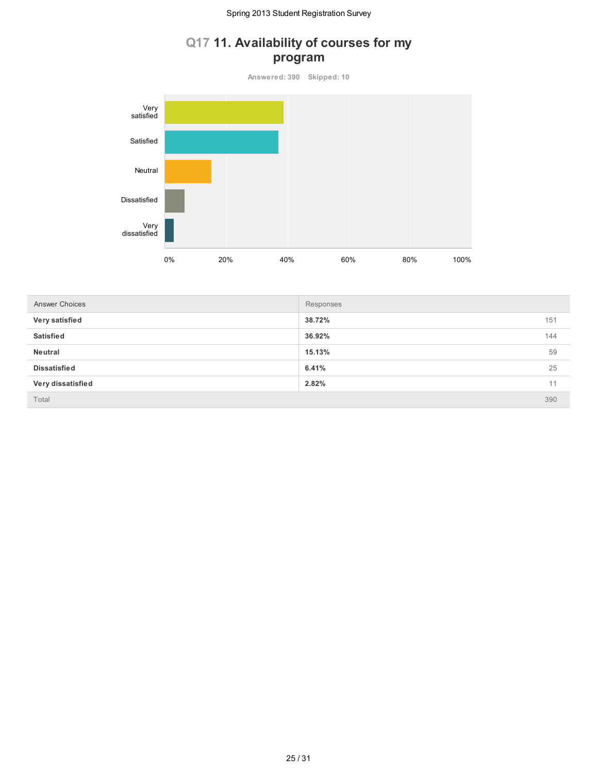### **Q17 11. Availability of courses for my program**

**Answered: 390 Skipped: 10**



| <b>Answer Choices</b> | Responses |     |
|-----------------------|-----------|-----|
| Very satisfied        | 38.72%    | 151 |
| <b>Satisfied</b>      | 36.92%    | 144 |
| Neutral               | 15.13%    | 59  |
| <b>Dissatisfied</b>   | 6.41%     | 25  |
| Very dissatisfied     | 2.82%     | 11  |
| Total                 |           | 390 |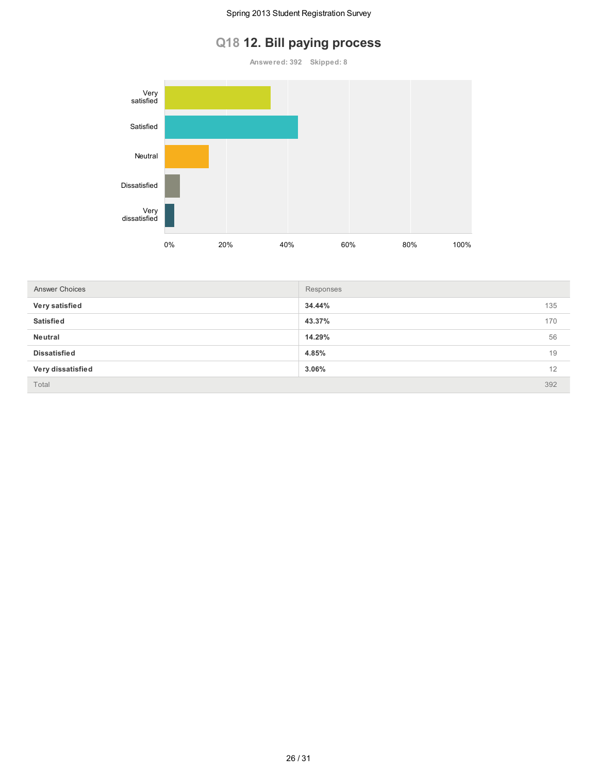### **Q18 12. Bill paying process**

**Answered: 392 Skipped: 8**



| <b>Answer Choices</b> | Responses |     |
|-----------------------|-----------|-----|
| Very satisfied        | 34.44%    | 135 |
| <b>Satisfied</b>      | 43.37%    | 170 |
| Neutral               | 14.29%    | 56  |
| <b>Dissatisfied</b>   | 4.85%     | 19  |
| Very dissatisfied     | 3.06%     | 12  |
| Total                 |           | 392 |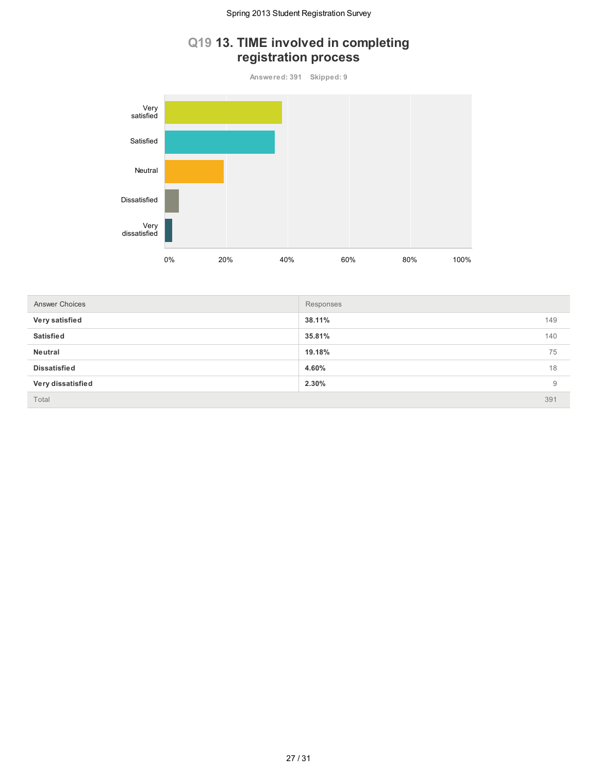## **Q19 13. TIME involved in completing registration process**

**Answered: 391 Skipped: 9**



| Answer Choices      | Responses |     |
|---------------------|-----------|-----|
| Very satisfied      | 38.11%    | 149 |
| <b>Satisfied</b>    | 35.81%    | 140 |
| Neutral             | 19.18%    | 75  |
| <b>Dissatisfied</b> | 4.60%     | 18  |
| Very dissatisfied   | 2.30%     | 9   |
| Total               |           | 391 |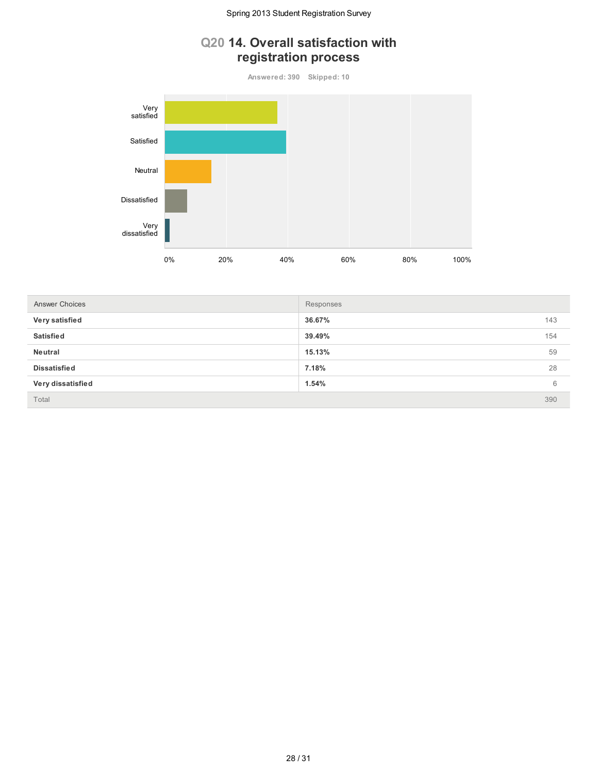## **Q20 14. Overall satisfaction with registration process**

**Answered: 390 Skipped: 10**



| <b>Answer Choices</b> | Responses |     |
|-----------------------|-----------|-----|
| Very satisfied        | 36.67%    | 143 |
| <b>Satisfied</b>      | 39.49%    | 154 |
| Neutral               | 15.13%    | 59  |
| <b>Dissatisfied</b>   | 7.18%     | 28  |
| Very dissatisfied     | 1.54%     | 6   |
| Total                 |           | 390 |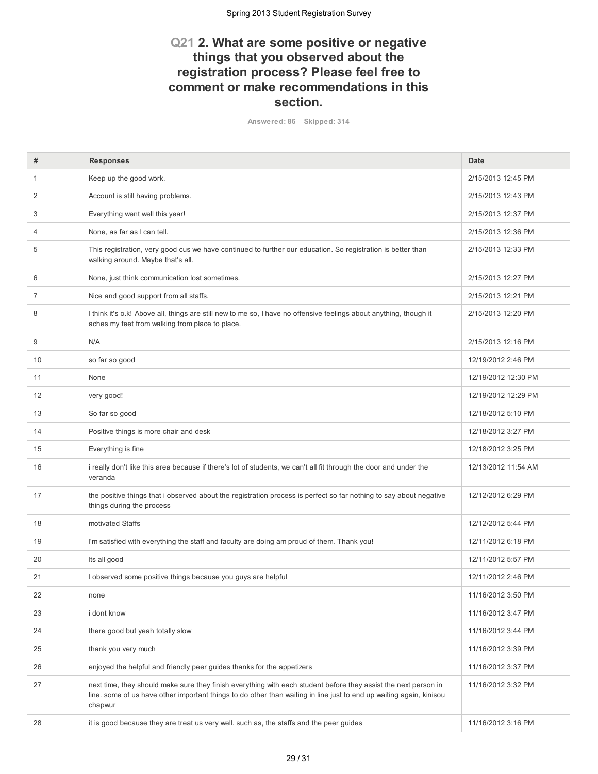### **Q21 2. What are some positive or negative things that you observed about the registration process? Please feel free to comment or make recommendations in this section.**

**Answered: 86 Skipped: 314**

| #  | <b>Responses</b>                                                                                                                                                                                                                                  | Date                |
|----|---------------------------------------------------------------------------------------------------------------------------------------------------------------------------------------------------------------------------------------------------|---------------------|
| 1  | Keep up the good work.                                                                                                                                                                                                                            | 2/15/2013 12:45 PM  |
| 2  | Account is still having problems.                                                                                                                                                                                                                 | 2/15/2013 12:43 PM  |
| 3  | Everything went well this year!                                                                                                                                                                                                                   | 2/15/2013 12:37 PM  |
| 4  | None, as far as I can tell.                                                                                                                                                                                                                       | 2/15/2013 12:36 PM  |
| 5  | This registration, very good cus we have continued to further our education. So registration is better than<br>walking around. Maybe that's all.                                                                                                  | 2/15/2013 12:33 PM  |
| 6  | None, just think communication lost sometimes.                                                                                                                                                                                                    | 2/15/2013 12:27 PM  |
| 7  | Nice and good support from all staffs.                                                                                                                                                                                                            | 2/15/2013 12:21 PM  |
| 8  | I think it's o.k! Above all, things are still new to me so, I have no offensive feelings about anything, though it<br>aches my feet from walking from place to place.                                                                             | 2/15/2013 12:20 PM  |
| 9  | <b>N/A</b>                                                                                                                                                                                                                                        | 2/15/2013 12:16 PM  |
| 10 | so far so good                                                                                                                                                                                                                                    | 12/19/2012 2:46 PM  |
| 11 | None                                                                                                                                                                                                                                              | 12/19/2012 12:30 PM |
| 12 | very good!                                                                                                                                                                                                                                        | 12/19/2012 12:29 PM |
| 13 | So far so good                                                                                                                                                                                                                                    | 12/18/2012 5:10 PM  |
| 14 | Positive things is more chair and desk                                                                                                                                                                                                            | 12/18/2012 3:27 PM  |
| 15 | Everything is fine                                                                                                                                                                                                                                | 12/18/2012 3:25 PM  |
| 16 | i really don't like this area because if there's lot of students, we can't all fit through the door and under the<br>veranda                                                                                                                      | 12/13/2012 11:54 AM |
| 17 | the positive things that i observed about the registration process is perfect so far nothing to say about negative<br>things during the process                                                                                                   | 12/12/2012 6:29 PM  |
| 18 | motivated Staffs                                                                                                                                                                                                                                  | 12/12/2012 5:44 PM  |
| 19 | I'm satisfied with everything the staff and faculty are doing am proud of them. Thank you!                                                                                                                                                        | 12/11/2012 6:18 PM  |
| 20 | Its all good                                                                                                                                                                                                                                      | 12/11/2012 5:57 PM  |
| 21 | I observed some positive things because you guys are helpful                                                                                                                                                                                      | 12/11/2012 2:46 PM  |
| 22 | none                                                                                                                                                                                                                                              | 11/16/2012 3:50 PM  |
| 23 | i dont know                                                                                                                                                                                                                                       | 11/16/2012 3:47 PM  |
| 24 | there good but yeah totally slow                                                                                                                                                                                                                  | 11/16/2012 3:44 PM  |
| 25 | thank you very much                                                                                                                                                                                                                               | 11/16/2012 3:39 PM  |
| 26 | enjoyed the helpful and friendly peer guides thanks for the appetizers                                                                                                                                                                            | 11/16/2012 3:37 PM  |
| 27 | next time, they should make sure they finish everything with each student before they assist the next person in<br>line. some of us have other important things to do other than waiting in line just to end up waiting again, kinisou<br>chapwur | 11/16/2012 3:32 PM  |
| 28 | it is good because they are treat us very well. such as, the staffs and the peer guides                                                                                                                                                           | 11/16/2012 3:16 PM  |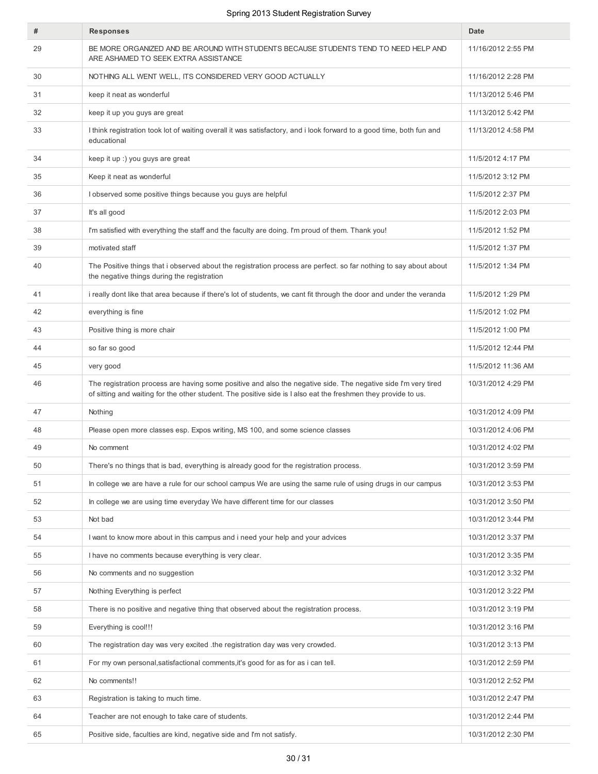| #  | <b>Responses</b>                                                                                                                                                                                                                 | Date               |
|----|----------------------------------------------------------------------------------------------------------------------------------------------------------------------------------------------------------------------------------|--------------------|
| 29 | BE MORE ORGANIZED AND BE AROUND WITH STUDENTS BECAUSE STUDENTS TEND TO NEED HELP AND<br>ARE ASHAMED TO SEEK EXTRA ASSISTANCE                                                                                                     | 11/16/2012 2:55 PM |
| 30 | NOTHING ALL WENT WELL, ITS CONSIDERED VERY GOOD ACTUALLY                                                                                                                                                                         | 11/16/2012 2:28 PM |
| 31 | keep it neat as wonderful                                                                                                                                                                                                        | 11/13/2012 5:46 PM |
| 32 | keep it up you guys are great                                                                                                                                                                                                    | 11/13/2012 5:42 PM |
| 33 | I think registration took lot of waiting overall it was satisfactory, and i look forward to a good time, both fun and<br>educational                                                                                             | 11/13/2012 4:58 PM |
| 34 | keep it up :) you guys are great                                                                                                                                                                                                 | 11/5/2012 4:17 PM  |
| 35 | Keep it neat as wonderful                                                                                                                                                                                                        | 11/5/2012 3:12 PM  |
| 36 | I observed some positive things because you guys are helpful                                                                                                                                                                     | 11/5/2012 2:37 PM  |
| 37 | It's all good                                                                                                                                                                                                                    | 11/5/2012 2:03 PM  |
| 38 | I'm satisfied with everything the staff and the faculty are doing. I'm proud of them. Thank you!                                                                                                                                 | 11/5/2012 1:52 PM  |
| 39 | motivated staff                                                                                                                                                                                                                  | 11/5/2012 1:37 PM  |
| 40 | The Positive things that i observed about the registration process are perfect. so far nothing to say about about<br>the negative things during the registration                                                                 | 11/5/2012 1:34 PM  |
| 41 | i really dont like that area because if there's lot of students, we cant fit through the door and under the veranda                                                                                                              | 11/5/2012 1:29 PM  |
| 42 | everything is fine                                                                                                                                                                                                               | 11/5/2012 1:02 PM  |
| 43 | Positive thing is more chair                                                                                                                                                                                                     | 11/5/2012 1:00 PM  |
| 44 | so far so good                                                                                                                                                                                                                   | 11/5/2012 12:44 PM |
| 45 | very good                                                                                                                                                                                                                        | 11/5/2012 11:36 AM |
| 46 | The registration process are having some positive and also the negative side. The negative side I'm very tired<br>of sitting and waiting for the other student. The positive side is I also eat the freshmen they provide to us. | 10/31/2012 4:29 PM |
| 47 | Nothing                                                                                                                                                                                                                          | 10/31/2012 4:09 PM |
| 48 | Please open more classes esp. Expos writing, MS 100, and some science classes                                                                                                                                                    | 10/31/2012 4:06 PM |
| 49 | No comment                                                                                                                                                                                                                       | 10/31/2012 4:02 PM |
| 50 | There's no things that is bad, everything is already good for the registration process.                                                                                                                                          | 10/31/2012 3:59 PM |
| 51 | In college we are have a rule for our school campus We are using the same rule of using drugs in our campus                                                                                                                      | 10/31/2012 3:53 PM |
| 52 | In college we are using time everyday We have different time for our classes                                                                                                                                                     | 10/31/2012 3:50 PM |
| 53 | Not bad                                                                                                                                                                                                                          | 10/31/2012 3:44 PM |
| 54 | I want to know more about in this campus and i need your help and your advices                                                                                                                                                   | 10/31/2012 3:37 PM |
| 55 | I have no comments because everything is very clear.                                                                                                                                                                             | 10/31/2012 3:35 PM |
| 56 | No comments and no suggestion                                                                                                                                                                                                    | 10/31/2012 3:32 PM |
| 57 | Nothing Everything is perfect                                                                                                                                                                                                    | 10/31/2012 3:22 PM |
| 58 | There is no positive and negative thing that observed about the registration process.                                                                                                                                            | 10/31/2012 3:19 PM |
| 59 | Everything is cool!!!                                                                                                                                                                                                            | 10/31/2012 3:16 PM |
| 60 | The registration day was very excited the registration day was very crowded.                                                                                                                                                     | 10/31/2012 3:13 PM |
| 61 | For my own personal, satisfactional comments, it's good for as for as i can tell.                                                                                                                                                | 10/31/2012 2:59 PM |
| 62 | No comments!!                                                                                                                                                                                                                    | 10/31/2012 2:52 PM |
| 63 | Registration is taking to much time.                                                                                                                                                                                             | 10/31/2012 2:47 PM |
| 64 | Teacher are not enough to take care of students.                                                                                                                                                                                 | 10/31/2012 2:44 PM |
| 65 | Positive side, faculties are kind, negative side and I'm not satisfy.                                                                                                                                                            | 10/31/2012 2:30 PM |